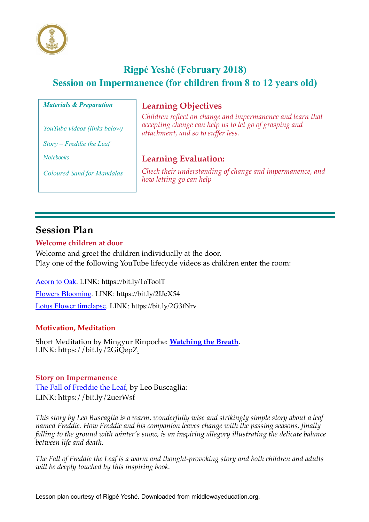

# **Rigpé Yeshé (February 2018) Session on Impermanence (for children from 8 to 12 years old)**

#### *Materials & Preparation*

*YouTube videos (links below)*

*Story – Freddie the Leaf* 

*Notebooks* 

*Coloured Sand for Mandalas*

## **Learning Objectives**

*Children reflect on change and impermanence and learn that accepting change can help us to let go of grasping and attachment, and so to suffer less.*

# **Learning Evaluation:**

*Check their understanding of change and impermanence, and how letting go can help*

# **Session Plan**

### **Welcome children at door**

Welcome and greet the children individually at the door. Play one of the following YouTube lifecycle videos as children enter the room:

Acorn to Oak. LINK: https://bit.ly/1oToolT Flowers Blooming. LINK: https://bit.ly/2IJeX54 Lotus Flower timelapse. LINK: https://bit.ly/2G3fNrv

### **Motivation, Meditation**

Short Meditation by Mingyur Rinpoche: **Watching the Breath**. LINK: https://bit.ly/2GiQepZ

#### **Story on Impermanence**

The Fall of Freddie the Leaf, by Leo Buscaglia: LINK: https://bit.ly/2uerWsf

*This story by Leo Buscaglia is a warm, wonderfully wise and strikingly simple story about a leaf named Freddie. How Freddie and his companion leaves change with the passing seasons, finally falling to the ground with winter's snow, is an inspiring allegory illustrating the delicate balance between life and death.*

*The Fall of Freddie the Leaf is a warm and thought-provoking story and both children and adults will be deeply touched by this inspiring book.*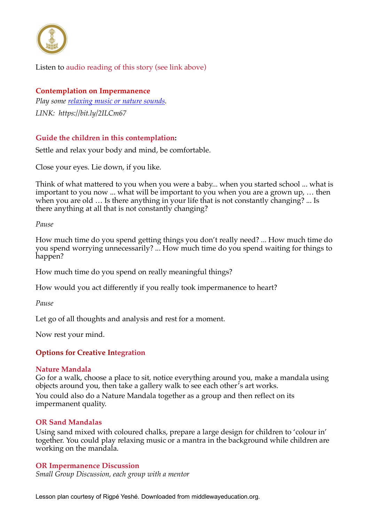

## Listen to audio reading of this story (see link above)

### **Contemplation on Impermanence**

*Play some relaxing music or nature sounds. LINK: https://bit.ly/2ILCm67*

## **Guide the children in this contemplation:**

Settle and relax your body and mind, be comfortable.

Close your eyes. Lie down, if you like.

Think of what mattered to you when you were a baby... when you started school ... what is important to you now ... what will be important to you when you are a grown up, … then when you are old … Is there anything in your life that is not constantly changing? ... Is there anything at all that is not constantly changing?

#### *Pause*

How much time do you spend getting things you don't really need? ... How much time do you spend worrying unnecessarily? ... How much time do you spend waiting for things to happen?

How much time do you spend on really meaningful things?

How would you act differently if you really took impermanence to heart?

*Pause*

Let go of all thoughts and analysis and rest for a moment.

Now rest your mind.

### **Options for Creative Integration**

#### **Nature Mandala**

Go for a walk, choose a place to sit, notice everything around you, make a mandala using objects around you, then take a gallery walk to see each other's art works.

You could also do a Nature Mandala together as a group and then reflect on its impermanent quality.

### **OR Sand Mandalas**

Using sand mixed with coloured chalks, prepare a large design for children to 'colour in' together. You could play relaxing music or a mantra in the background while children are working on the mandala.

#### **OR Impermanence Discussion**

*Small Group Discussion, each group with a mentor* 

Lesson plan courtesy of Rigpé Yeshé. Downloaded from middlewayeducation.org.